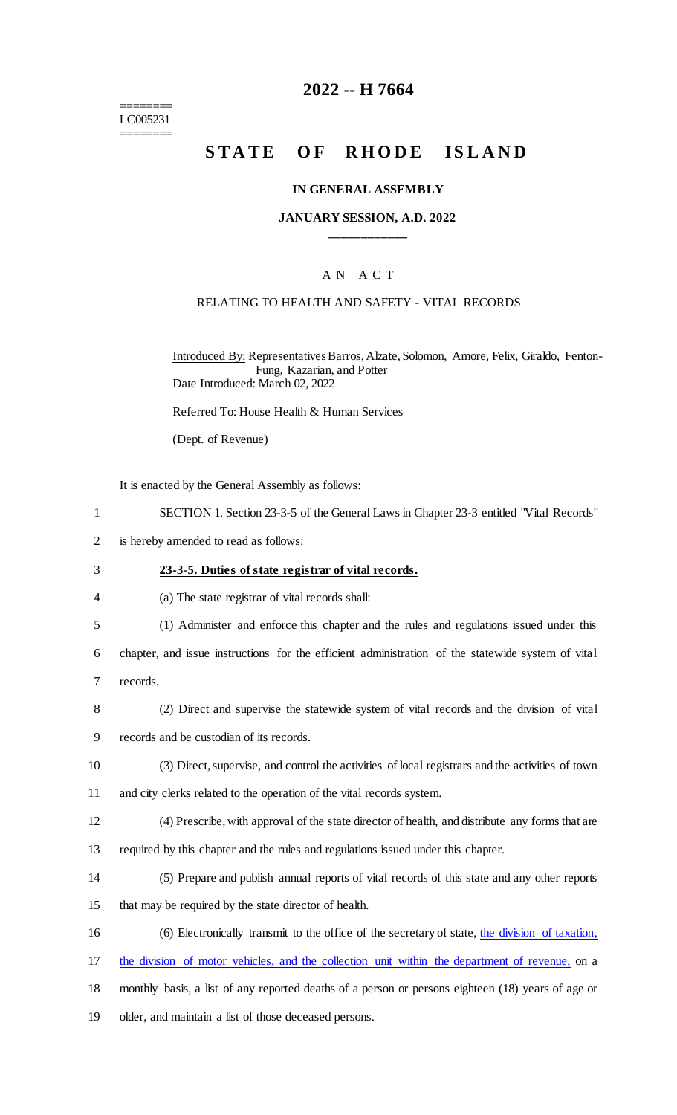======== LC005231 ========

# **2022 -- H 7664**

# **STATE OF RHODE ISLAND**

#### **IN GENERAL ASSEMBLY**

### **JANUARY SESSION, A.D. 2022 \_\_\_\_\_\_\_\_\_\_\_\_**

## A N A C T

### RELATING TO HEALTH AND SAFETY - VITAL RECORDS

Introduced By: Representatives Barros, Alzate, Solomon, Amore, Felix, Giraldo, Fenton-Fung, Kazarian, and Potter Date Introduced: March 02, 2022

Referred To: House Health & Human Services

(Dept. of Revenue)

It is enacted by the General Assembly as follows:

- 1 SECTION 1. Section 23-3-5 of the General Laws in Chapter 23-3 entitled "Vital Records"
- 2 is hereby amended to read as follows:

#### 3 **23-3-5. Duties of state registrar of vital records.**

4 (a) The state registrar of vital records shall:

5 (1) Administer and enforce this chapter and the rules and regulations issued under this

6 chapter, and issue instructions for the efficient administration of the statewide system of vital

- 7 records.
- 8 (2) Direct and supervise the statewide system of vital records and the division of vital
- 9 records and be custodian of its records.
- 10 (3) Direct, supervise, and control the activities of local registrars and the activities of town
- 11 and city clerks related to the operation of the vital records system.
- 12 (4) Prescribe, with approval of the state director of health, and distribute any forms that are
- 13 required by this chapter and the rules and regulations issued under this chapter.
- 14 (5) Prepare and publish annual reports of vital records of this state and any other reports
- 15 that may be required by the state director of health.
- 16 (6) Electronically transmit to the office of the secretary of state, the division of taxation,
- 17 the division of motor vehicles, and the collection unit within the department of revenue, on a
- 18 monthly basis, a list of any reported deaths of a person or persons eighteen (18) years of age or
- 19 older, and maintain a list of those deceased persons.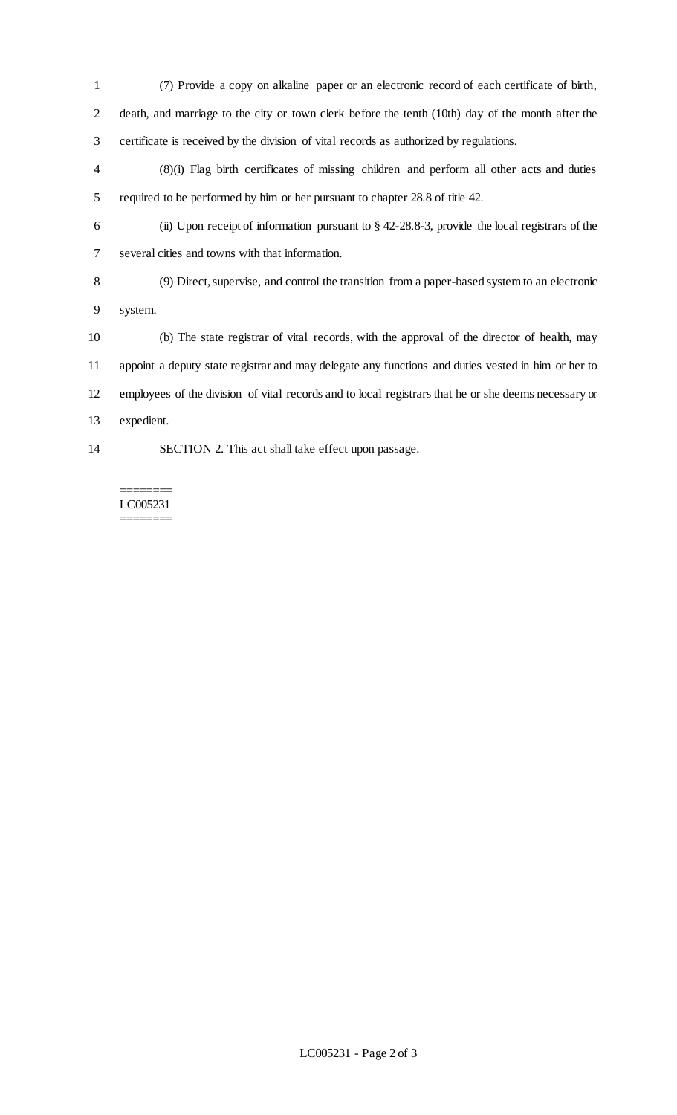(7) Provide a copy on alkaline paper or an electronic record of each certificate of birth, death, and marriage to the city or town clerk before the tenth (10th) day of the month after the certificate is received by the division of vital records as authorized by regulations.

 (8)(i) Flag birth certificates of missing children and perform all other acts and duties required to be performed by him or her pursuant to chapter 28.8 of title 42.

 (ii) Upon receipt of information pursuant to § 42-28.8-3, provide the local registrars of the several cities and towns with that information.

 (9) Direct, supervise, and control the transition from a paper-based system to an electronic system.

 (b) The state registrar of vital records, with the approval of the director of health, may appoint a deputy state registrar and may delegate any functions and duties vested in him or her to employees of the division of vital records and to local registrars that he or she deems necessary or expedient.

SECTION 2. This act shall take effect upon passage.

======== LC005231 ========